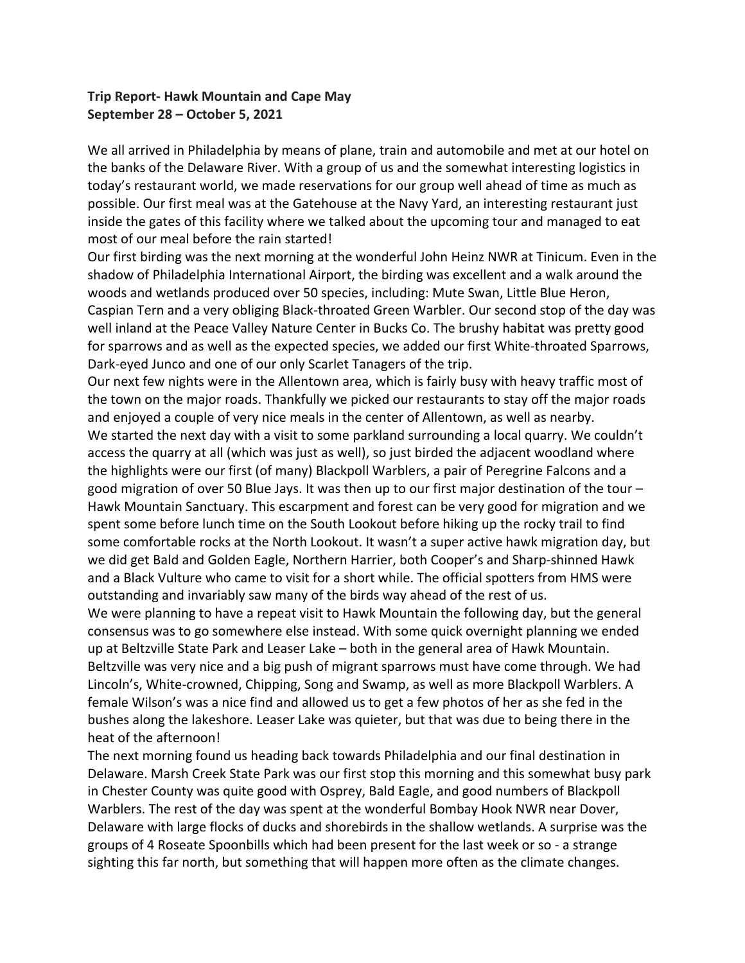## **Trip Report- Hawk Mountain and Cape May September 28 – October 5, 2021**

We all arrived in Philadelphia by means of plane, train and automobile and met at our hotel on the banks of the Delaware River. With a group of us and the somewhat interesting logistics in today's restaurant world, we made reservations for our group well ahead of time as much as possible. Our first meal was at the Gatehouse at the Navy Yard, an interesting restaurant just inside the gates of this facility where we talked about the upcoming tour and managed to eat most of our meal before the rain started!

Our first birding was the next morning at the wonderful John Heinz NWR at Tinicum. Even in the shadow of Philadelphia International Airport, the birding was excellent and a walk around the woods and wetlands produced over 50 species, including: Mute Swan, Little Blue Heron, Caspian Tern and a very obliging Black-throated Green Warbler. Our second stop of the day was well inland at the Peace Valley Nature Center in Bucks Co. The brushy habitat was pretty good for sparrows and as well as the expected species, we added our first White-throated Sparrows, Dark-eyed Junco and one of our only Scarlet Tanagers of the trip.

Our next few nights were in the Allentown area, which is fairly busy with heavy traffic most of the town on the major roads. Thankfully we picked our restaurants to stay off the major roads and enjoyed a couple of very nice meals in the center of Allentown, as well as nearby. We started the next day with a visit to some parkland surrounding a local quarry. We couldn't access the quarry at all (which was just as well), so just birded the adjacent woodland where the highlights were our first (of many) Blackpoll Warblers, a pair of Peregrine Falcons and a good migration of over 50 Blue Jays. It was then up to our first major destination of the tour – Hawk Mountain Sanctuary. This escarpment and forest can be very good for migration and we spent some before lunch time on the South Lookout before hiking up the rocky trail to find some comfortable rocks at the North Lookout. It wasn't a super active hawk migration day, but we did get Bald and Golden Eagle, Northern Harrier, both Cooper's and Sharp-shinned Hawk and a Black Vulture who came to visit for a short while. The official spotters from HMS were outstanding and invariably saw many of the birds way ahead of the rest of us.

We were planning to have a repeat visit to Hawk Mountain the following day, but the general consensus was to go somewhere else instead. With some quick overnight planning we ended up at Beltzville State Park and Leaser Lake – both in the general area of Hawk Mountain. Beltzville was very nice and a big push of migrant sparrows must have come through. We had Lincoln's, White-crowned, Chipping, Song and Swamp, as well as more Blackpoll Warblers. A female Wilson's was a nice find and allowed us to get a few photos of her as she fed in the bushes along the lakeshore. Leaser Lake was quieter, but that was due to being there in the heat of the afternoon!

The next morning found us heading back towards Philadelphia and our final destination in Delaware. Marsh Creek State Park was our first stop this morning and this somewhat busy park in Chester County was quite good with Osprey, Bald Eagle, and good numbers of Blackpoll Warblers. The rest of the day was spent at the wonderful Bombay Hook NWR near Dover, Delaware with large flocks of ducks and shorebirds in the shallow wetlands. A surprise was the groups of 4 Roseate Spoonbills which had been present for the last week or so - a strange sighting this far north, but something that will happen more often as the climate changes.